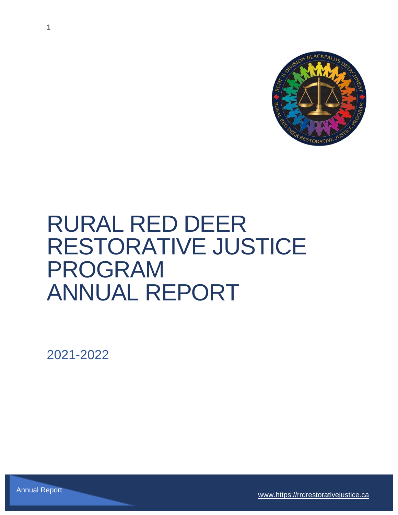

# RURAL RED DEER RESTORATIVE JUSTICE PROGRAM ANNUAL REPORT

2021-2022

[www.https://rrdrestorativejustice.ca](http://www.https/rrdrestorativejustice.ca) Annual Report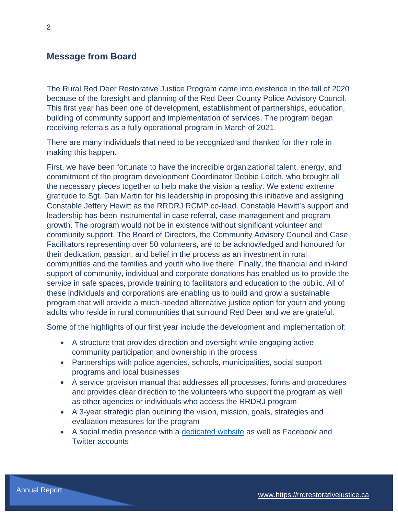### **Message from Board**

The Rural Red Deer Restorative Justice Program came into existence in the fall of 2020 because of the foresight and planning of the Red Deer County Police Advisory Council. This first year has been one of development, establishment of partnerships, education, building of community support and implementation of services. The program began receiving referrals as a fully operational program in March of 2021.

There are many individuals that need to be recognized and thanked for their role in making this happen.

First, we have been fortunate to have the incredible organizational talent, energy, and commitment of the program development Coordinator Debbie Leitch, who brought all the necessary pieces together to help make the vision a reality. We extend extreme gratitude to Sgt. Dan Martin for his leadership in proposing this initiative and assigning Constable Jeffery Hewitt as the RRDRJ RCMP co-lead. Constable Hewitt's support and leadership has been instrumental in case referral, case management and program growth. The program would not be in existence without significant volunteer and community support. The Board of Directors, the Community Advisory Council and Case Facilitators representing over 50 volunteers, are to be acknowledged and honoured for their dedication, passion, and belief in the process as an investment in rural communities and the families and youth who live there. Finally, the financial and in-kind support of community, individual and corporate donations has enabled us to provide the service in safe spaces, provide training to facilitators and education to the public. All of these individuals and corporations are enabling us to build and grow a sustainable program that will provide a much-needed alternative justice option for youth and young adults who reside in rural communities that surround Red Deer and we are grateful.

Some of the highlights of our first year include the development and implementation of:

- A structure that provides direction and oversight while engaging active community participation and ownership in the process
- Partnerships with police agencies, schools, municipalities, social support programs and local businesses
- A service provision manual that addresses all processes, forms and procedures and provides clear direction to the volunteers who support the program as well as other agencies or individuals who access the RRDRJ program
- A 3-year strategic plan outlining the vision, mission, goals, strategies and evaluation measures for the program
- A social media presence with a [dedicated website](https://rrdrestorativejustice.ca/) as well as Facebook and Twitter accounts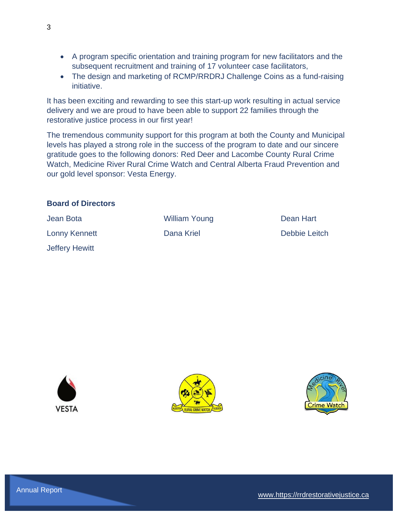- A program specific orientation and training program for new facilitators and the subsequent recruitment and training of 17 volunteer case facilitators,
- The design and marketing of RCMP/RRDRJ Challenge Coins as a fund-raising initiative.

It has been exciting and rewarding to see this start-up work resulting in actual service delivery and we are proud to have been able to support 22 families through the restorative justice process in our first year!

The tremendous community support for this program at both the County and Municipal levels has played a strong role in the success of the program to date and our sincere gratitude goes to the following donors: Red Deer and Lacombe County Rural Crime Watch, Medicine River Rural Crime Watch and Central Alberta Fraud Prevention and our gold level sponsor: Vesta Energy.

#### **Board of Directors**

| Jean Bota      | <b>William Young</b> | Dean Hart     |
|----------------|----------------------|---------------|
| Lonny Kennett  | Dana Kriel           | Debbie Leitch |
| Jeffery Hewitt |                      |               |





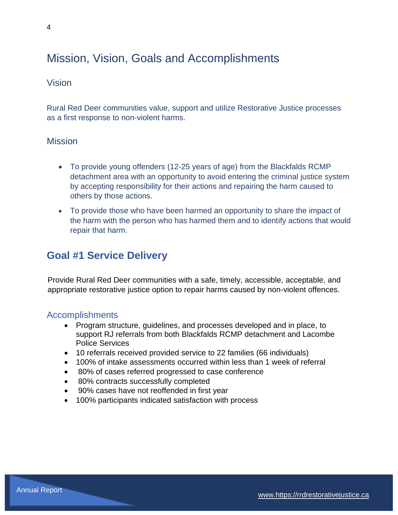# Mission, Vision, Goals and Accomplishments

## Vision

Rural Red Deer communities value, support and utilize Restorative Justice processes as a first response to non-violent harms.

## **Mission**

- To provide young offenders (12-25 years of age) from the Blackfalds RCMP detachment area with an opportunity to avoid entering the criminal justice system by accepting responsibility for their actions and repairing the harm caused to others by those actions.
- To provide those who have been harmed an opportunity to share the impact of the harm with the person who has harmed them and to identify actions that would repair that harm.

# **Goal #1 Service Delivery**

Provide Rural Red Deer communities with a safe, timely, accessible, acceptable, and appropriate restorative justice option to repair harms caused by non-violent offences.

## Accomplishments

- Program structure, guidelines, and processes developed and in place, to support RJ referrals from both Blackfalds RCMP detachment and Lacombe Police Services
- 10 referrals received provided service to 22 families (66 individuals)
- 100% of intake assessments occurred within less than 1 week of referral
- 80% of cases referred progressed to case conference
- 80% contracts successfully completed
- 90% cases have not reoffended in first year
- 100% participants indicated satisfaction with process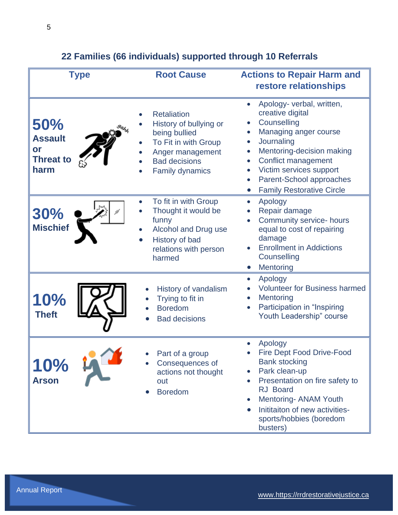| <b>Type</b>                                             | <b>Root Cause</b>                                                                                                                                           | <b>Actions to Repair Harm and</b><br>restore relationships                                                                                                                                                                                                                   |
|---------------------------------------------------------|-------------------------------------------------------------------------------------------------------------------------------------------------------------|------------------------------------------------------------------------------------------------------------------------------------------------------------------------------------------------------------------------------------------------------------------------------|
| 50%<br><b>Assault</b><br>or<br><b>Threat to</b><br>harm | <b>Retaliation</b><br>History of bullying or<br>being bullied<br>To Fit in with Group<br>Anger management<br><b>Bad decisions</b><br><b>Family dynamics</b> | Apology- verbal, written,<br>creative digital<br>Counselling<br>Managing anger course<br>Journaling<br>Mentoring-decision making<br>Conflict management<br>Victim services support<br>Parent-School approaches<br><b>Family Restorative Circle</b>                           |
| 30%<br><b>Mischief</b>                                  | To fit in with Group<br>Thought it would be<br>funny<br>Alcohol and Drug use<br>History of bad<br>relations with person<br>harmed                           | Apology<br>$\bullet$<br>Repair damage<br>Community service- hours<br>equal to cost of repairing<br>damage<br><b>Enrollment in Addictions</b><br>Counselling<br>Mentoring                                                                                                     |
| 10%<br><b>Theft</b>                                     | History of vandalism<br>Trying to fit in<br><b>Boredom</b><br><b>Bad decisions</b>                                                                          | Apology<br>$\bullet$<br><b>Volunteer for Business harmed</b><br>Mentoring<br>Participation in "Inspiring<br>Youth Leadership" course                                                                                                                                         |
| <b>10%</b><br><b>Arson</b>                              | Part of a group<br>Consequences of<br>actions not thought<br>out<br><b>Boredom</b>                                                                          | Apology<br><b>Fire Dept Food Drive-Food</b><br><b>Bank stocking</b><br>Park clean-up<br>$\bullet$<br>Presentation on fire safety to<br><b>RJ</b> Board<br><b>Mentoring- ANAM Youth</b><br>$\bullet$<br>Inititaiton of new activities-<br>sports/hobbies (boredom<br>busters) |

# **22 Families (66 individuals) supported through 10 Referrals**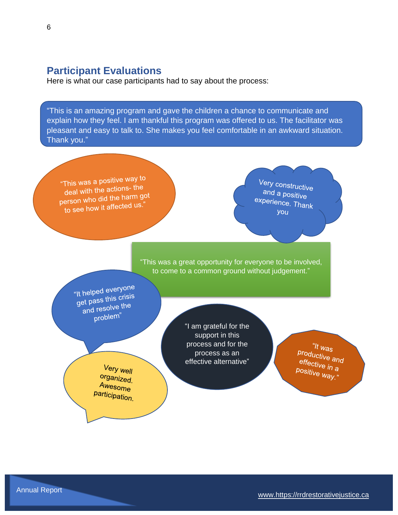## **Participant Evaluations**

Here is what our case participants had to say about the process:

"This is an amazing program and gave the children a chance to communicate and explain how they feel. I am thankful this program was offered to us. The facilitator was pleasant and easy to talk to. She makes you feel comfortable in an awkward situation. Thank you."

"This was a positive way to deal with the actions- the deal with the actions<br>person who did the harm got to see how it affected us."

Very constructive and a positive experience. Thank you

"This was a great opportunity for everyone to be involved, to come to a common ground without judgement."

"It helped everyone" It helped every<br>get pass this crisis<br>selve the et pass time of the problem"

> Very well organized. Awesome participation.

"I am grateful for the support in this process and for the process as an effective alternative"

"It  $w_{\text{as}}$ <sup>11</sup> Was<br>Productive and<br>effective : effective and<br><sup>effective in</sup> a positive in a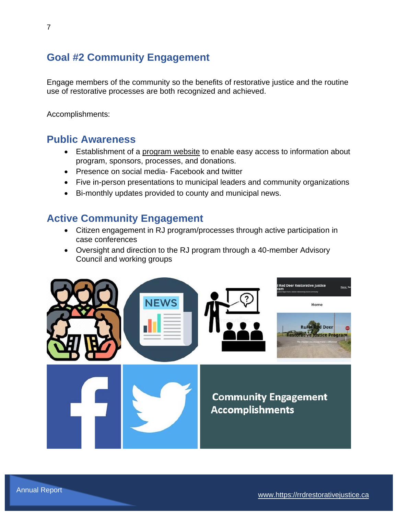# **Goal #2 Community Engagement**

Engage members of the community so the benefits of restorative justice and the routine use of restorative processes are both recognized and achieved.

Accomplishments:

# **Public Awareness**

- Establishment of a [program website](https://rrdrestorativejustice.ca/) to enable easy access to information about program, sponsors, processes, and donations.
- Presence on social media- Facebook and twitter
- Five in-person presentations to municipal leaders and community organizations
- Bi-monthly updates provided to county and municipal news.

# **Active Community Engagement**

- Citizen engagement in RJ program/processes through active participation in case conferences
- Oversight and direction to the RJ program through a 40-member Advisory Council and working groups

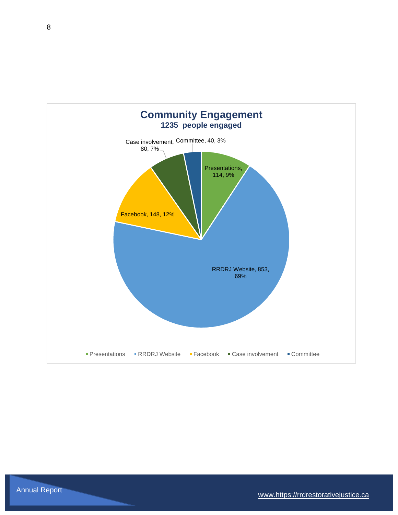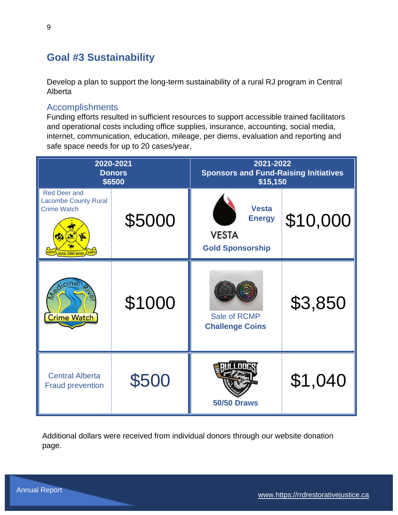# **Goal #3 Sustainability**

Develop a plan to support the long-term sustainability of a rural RJ program in Central Alberta

## Accomplishments

Funding efforts resulted in sufficient resources to support accessible trained facilitators and operational costs including office supplies, insurance, accounting, social media, internet, communication, education, mileage, per diems, evaluation and reporting and safe space needs for up to 20 cases/year.

| 2020-2021<br><b>Donors</b><br>\$6500                                                                         |        | 2021-2022<br><b>Sponsors and Fund-Raising Initiatives</b><br>\$15,150    |          |
|--------------------------------------------------------------------------------------------------------------|--------|--------------------------------------------------------------------------|----------|
| <b>Red Deer and</b><br><b>Lacombe County Rural</b><br><b>Crime Watch</b><br>ALBERTA RURAL CRIME WATCH ALBERT | \$5000 | <b>Vesta</b><br><b>Energy</b><br><b>VESTA</b><br><b>Gold Sponsorship</b> | \$10,000 |
| edic<br><b>Crime Watch</b>                                                                                   | \$1000 | Sale of RCMP<br><b>Challenge Coins</b>                                   | \$3,850  |
| <b>Central Alberta</b><br><b>Fraud prevention</b>                                                            | \$500  | <b>50/50 Draws</b>                                                       | \$1,040  |

Additional dollars were received from individual donors through our website donation page.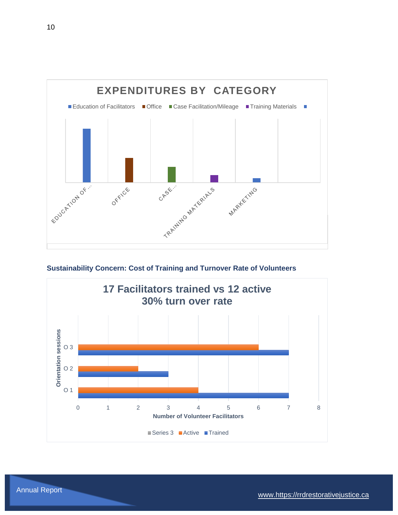

**Sustainability Concern: Cost of Training and Turnover Rate of Volunteers**

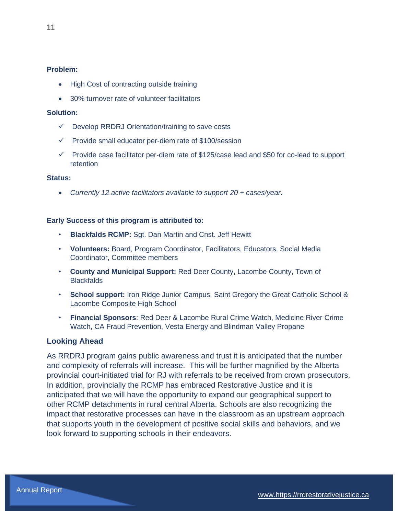#### **Problem:**

- High Cost of contracting outside training
- 30% turnover rate of volunteer facilitators

#### **Solution:**

- ✓ Develop RRDRJ Orientation/training to save costs
- ✓ Provide small educator per-diem rate of \$100/session
- $\checkmark$  Provide case facilitator per-diem rate of \$125/case lead and \$50 for co-lead to support retention

#### **Status:**

• *Currently 12 active facilitators available to support 20 + cases/year***.** 

#### **Early Success of this program is attributed to:**

- **Blackfalds RCMP:** Sgt. Dan Martin and Cnst. Jeff Hewitt
- **Volunteers:** Board, Program Coordinator, Facilitators, Educators, Social Media Coordinator, Committee members
- **County and Municipal Support:** Red Deer County, Lacombe County, Town of **Blackfalds**
- **School support:** Iron Ridge Junior Campus, Saint Gregory the Great Catholic School & Lacombe Composite High School
- **Financial Sponsors**: Red Deer & Lacombe Rural Crime Watch, Medicine River Crime Watch, CA Fraud Prevention, Vesta Energy and Blindman Valley Propane

#### **Looking Ahead**

As RRDRJ program gains public awareness and trust it is anticipated that the number and complexity of referrals will increase. This will be further magnified by the Alberta provincial court-initiated trial for RJ with referrals to be received from crown prosecutors. In addition, provincially the RCMP has embraced Restorative Justice and it is anticipated that we will have the opportunity to expand our geographical support to other RCMP detachments in rural central Alberta. Schools are also recognizing the impact that restorative processes can have in the classroom as an upstream approach that supports youth in the development of positive social skills and behaviors, and we look forward to supporting schools in their endeavors.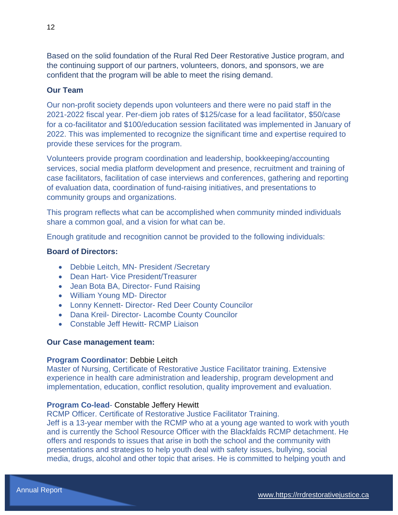Based on the solid foundation of the Rural Red Deer Restorative Justice program, and the continuing support of our partners, volunteers, donors, and sponsors, we are confident that the program will be able to meet the rising demand.

#### **Our Team**

Our non-profit society depends upon volunteers and there were no paid staff in the 2021-2022 fiscal year. Per-diem job rates of \$125/case for a lead facilitator, \$50/case for a co-facilitator and \$100/education session facilitated was implemented in January of 2022. This was implemented to recognize the significant time and expertise required to provide these services for the program.

Volunteers provide program coordination and leadership, bookkeeping/accounting services, social media platform development and presence, recruitment and training of case facilitators, facilitation of case interviews and conferences, gathering and reporting of evaluation data, coordination of fund-raising initiatives, and presentations to community groups and organizations.

This program reflects what can be accomplished when community minded individuals share a common goal, and a vision for what can be.

Enough gratitude and recognition cannot be provided to the following individuals:

#### **Board of Directors:**

- Debbie Leitch, MN- President /Secretary
- Dean Hart- Vice President/Treasurer
- Jean Bota BA, Director- Fund Raising
- William Young MD- Director
- Lonny Kennett- Director- Red Deer County Councilor
- Dana Kreil- Director- Lacombe County Councilor
- Constable Jeff Hewitt- RCMP Liaison

#### **Our Case management team:**

#### **Program Coordinator**: Debbie Leitch

Master of Nursing, Certificate of Restorative Justice Facilitator training. Extensive experience in health care administration and leadership, program development and implementation, education, conflict resolution, quality improvement and evaluation.

#### **Program Co-lead**- Constable Jeffery Hewitt

RCMP Officer. Certificate of Restorative Justice Facilitator Training.

Jeff is a 13-year member with the RCMP who at a young age wanted to work with youth and is currently the School Resource Officer with the Blackfalds RCMP detachment. He offers and responds to issues that arise in both the school and the community with presentations and strategies to help youth deal with safety issues, bullying, social media, drugs, alcohol and other topic that arises. He is committed to helping youth and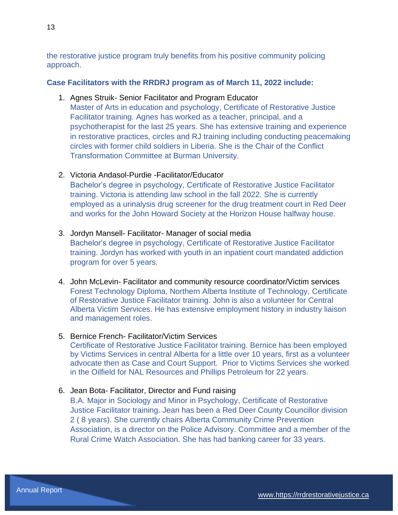the restorative justice program truly benefits from his positive community policing approach.

#### **Case Facilitators with the RRDRJ program as of March 11, 2022 include:**

1. Agnes Struik- Senior Facilitator and Program Educator

Master of Arts in education and psychology, Certificate of Restorative Justice Facilitator training. Agnes has worked as a teacher, principal, and a psychotherapist for the last 25 years. She has extensive training and experience in restorative practices, circles and RJ training including conducting peacemaking circles with former child soldiers in Liberia. She is the Chair of the Conflict Transformation Committee at Burman University.

2. Victoria Andasol-Purdie -Facilitator/Educator

Bachelor's degree in psychology, Certificate of Restorative Justice Facilitator training. Victoria is attending law school in the fall 2022. She is currently employed as a urinalysis drug screener for the drug treatment court in Red Deer and works for the John Howard Society at the Horizon House halfway house.

3. Jordyn Mansell- Facilitator- Manager of social media

Bachelor's degree in psychology, Certificate of Restorative Justice Facilitator training. Jordyn has worked with youth in an inpatient court mandated addiction program for over 5 years.

4. John McLevin- Facilitator and community resource coordinator/Victim services Forest Technology Diploma, Northern Alberta Institute of Technology, Certificate of Restorative Justice Facilitator training. John is also a volunteer for Central Alberta Victim Services. He has extensive employment history in industry liaison and management roles.

#### 5. Bernice French- Facilitator/Victim Services

Certificate of Restorative Justice Facilitator training. Bernice has been employed by Victims Services in central Alberta for a little over 10 years, first as a volunteer advocate then as Case and Court Support. Prior to Victims Services she worked in the Oilfield for NAL Resources and Phillips Petroleum for 22 years.

6. Jean Bota- Facilitator, Director and Fund raising

B.A. Major in Sociology and Minor in Psychology, Certificate of Restorative Justice Facilitator training. Jean has been a Red Deer County Councillor division 2 ( 8 years). She currently chairs Alberta Community Crime Prevention Association, is a director on the Police Advisory. Committee and a member of the Rural Crime Watch Association. She has had banking career for 33 years.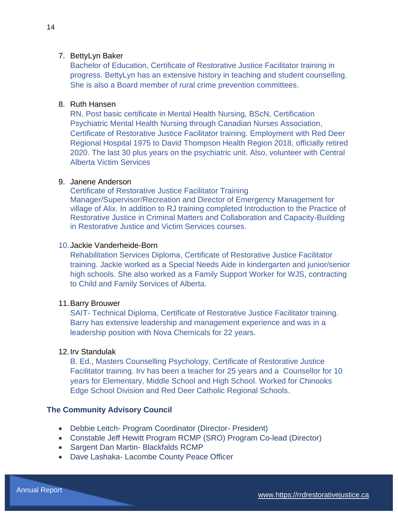#### 7. BettyLyn Baker

Bachelor of Education, Certificate of Restorative Justice Facilitator training in progress. BettyLyn has an extensive history in teaching and student counselling. She is also a Board member of rural crime prevention committees.

#### 8. Ruth Hansen

RN, Post basic certificate in Mental Health Nursing, BScN, Certification Psychiatric Mental Health Nursing through Canadian Nurses Association, Certificate of Restorative Justice Facilitator training. Employment with Red Deer Regional Hospital 1975 to David Thompson Health Region 2018, officially retired 2020. The last 30 plus years on the psychiatric unit. Also, volunteer with Central Alberta Victim Services

#### 9. Janene Anderson

Certificate of Restorative Justice Facilitator Training Manager/Supervisor/Recreation and Director of Emergency Management for village of Alix. In addition to RJ training completed Introduction to the Practice of Restorative Justice in Criminal Matters and Collaboration and Capacity-Building in Restorative Justice and Victim Services courses.

#### 10.Jackie Vanderheide-Born

Rehabilitation Services Diploma, Certificate of Restorative Justice Facilitator training. Jackie worked as a Special Needs Aide in kindergarten and junior/senior high schools. She also worked as a Family Support Worker for WJS, contracting to Child and Family Services of Alberta.

#### 11.Barry Brouwer

SAIT- Technical Diploma, Certificate of Restorative Justice Facilitator training. Barry has extensive leadership and management experience and was in a leadership position with Nova Chemicals for 22 years.

#### 12.Irv Standulak

B. Ed., Masters Counselling Psychology, Certificate of Restorative Justice Facilitator training. Irv has been a teacher for 25 years and a Counsellor for 10 years for Elementary, Middle School and High School. Worked for Chinooks Edge School Division and Red Deer Catholic Regional Schools.

#### **The Community Advisory Council**

- Debbie Leitch- Program Coordinator (Director- President)
- Constable Jeff Hewitt Program RCMP (SRO) Program Co-lead (Director)
- Sargent Dan Martin- Blackfalds RCMP
- Dave Lashaka- Lacombe County Peace Officer